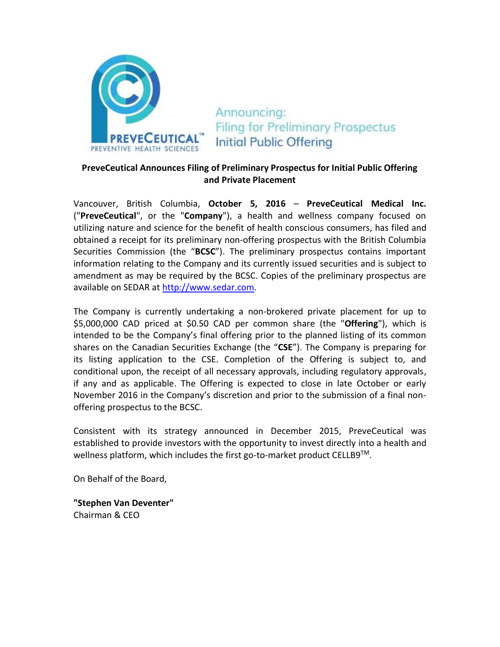

Announcing: **Filing for Preliminary Prospectus Initial Public Offering** 

## **PreveCeutical Announces Filing of Preliminary Prospectus for Initial Public Offering and Private Placement**

Vancouver, British Columbia, **October 5, 2016** – **PreveCeutical Medical Inc.** ("**PreveCeutical**", or the "**Company**"), a health and wellness company focused on utilizing nature and science for the benefit of health conscious consumers, has filed and obtained a receipt for its preliminary non-offering prospectus with the British Columbia Securities Commission (the "**BCSC**"). The preliminary prospectus contains important information relating to the Company and its currently issued securities and is subject to amendment as may be required by the BCSC. Copies of the preliminary prospectus are available on SEDAR at [http://www.sedar.com.](http://www.sedar.com/)

The Company is currently undertaking a non-brokered private placement for up to \$5,000,000 CAD priced at \$0.50 CAD per common share (the "**Offering**"), which is intended to be the Company's final offering prior to the planned listing of its common shares on the Canadian Securities Exchange (the "**CSE**"). The Company is preparing for its listing application to the CSE. Completion of the Offering is subject to, and conditional upon, the receipt of all necessary approvals, including regulatory approvals, if any and as applicable. The Offering is expected to close in late October or early November 2016 in the Company's discretion and prior to the submission of a final nonoffering prospectus to the BCSC.

Consistent with its strategy announced in December 2015, PreveCeutical was established to provide investors with the opportunity to invest directly into a health and wellness platform, which includes the first go-to-market product CELLB9<sup>TM</sup>.

On Behalf of the Board,

**"Stephen Van Deventer"** Chairman & CEO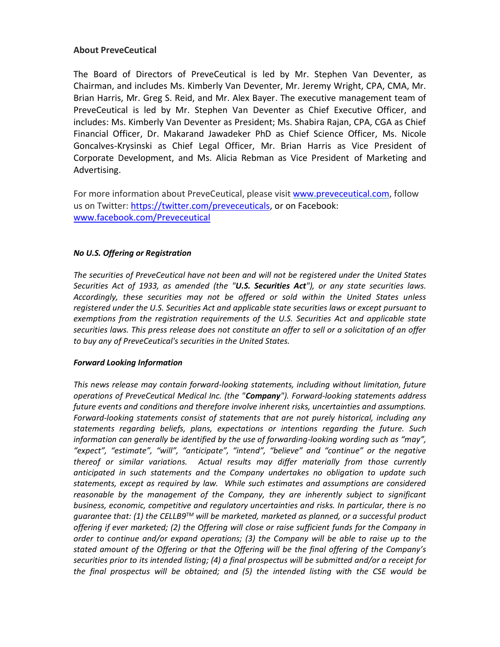## **About PreveCeutical**

The Board of Directors of PreveCeutical is led by Mr. Stephen Van Deventer, as Chairman, and includes Ms. Kimberly Van Deventer, Mr. Jeremy Wright, CPA, CMA, Mr. Brian Harris, Mr. Greg S. Reid, and Mr. Alex Bayer. The executive management team of PreveCeutical is led by Mr. Stephen Van Deventer as Chief Executive Officer, and includes: Ms. Kimberly Van Deventer as President; Ms. Shabira Rajan, CPA, CGA as Chief Financial Officer, Dr. Makarand Jawadeker PhD as Chief Science Officer, Ms. Nicole Goncalves-Krysinski as Chief Legal Officer, Mr. Brian Harris as Vice President of Corporate Development, and Ms. Alicia Rebman as Vice President of Marketing and Advertising.

For more information about PreveCeutical, please visi[t www.preveceutical.com,](http://www.preveceutical.com/) follow us on Twitter: [https://twitter.com/preveceuticals,](https://twitter.com/preveceuticals) or on Facebook: [www.facebook.com/Preveceutical](http://www.facebook.com/Preveceutical)

## *No U.S. Offering or Registration*

*The securities of PreveCeutical have not been and will not be registered under the United States Securities Act of 1933, as amended (the "U.S. Securities Act"), or any state securities laws. Accordingly, these securities may not be offered or sold within the United States unless registered under the U.S. Securities Act and applicable state securities laws or except pursuant to exemptions from the registration requirements of the U.S. Securities Act and applicable state securities laws. This press release does not constitute an offer to sell or a solicitation of an offer to buy any of PreveCeutical's securities in the United States.*

## *Forward Looking Information*

*This news release may contain forward-looking statements, including without limitation, future operations of PreveCeutical Medical Inc. (the "Company"). Forward-looking statements address future events and conditions and therefore involve inherent risks, uncertainties and assumptions. Forward-looking statements consist of statements that are not purely historical, including any statements regarding beliefs, plans, expectations or intentions regarding the future. Such information can generally be identified by the use of forwarding-looking wording such as "may", "expect", "estimate", "will", "anticipate", "intend", "believe" and "continue" or the negative thereof or similar variations. Actual results may differ materially from those currently anticipated in such statements and the Company undertakes no obligation to update such statements, except as required by law. While such estimates and assumptions are considered reasonable by the management of the Company, they are inherently subject to significant business, economic, competitive and regulatory uncertainties and risks. In particular, there is no guarantee that: (1) the CELLB9TM will be marketed, marketed as planned, or a successful product offering if ever marketed; (2) the Offering will close or raise sufficient funds for the Company in order to continue and/or expand operations; (3) the Company will be able to raise up to the stated amount of the Offering or that the Offering will be the final offering of the Company's securities prior to its intended listing; (4) a final prospectus will be submitted and/or a receipt for the final prospectus will be obtained; and (5) the intended listing with the CSE would be*